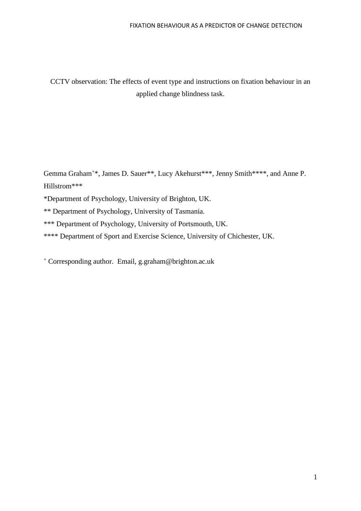CCTV observation: The effects of event type and instructions on fixation behaviour in an applied change blindness task.

Gemma Graham<sup>+\*</sup>, James D. Sauer<sup>\*\*</sup>, Lucy Akehurst<sup>\*\*\*</sup>, Jenny Smith<sup>\*\*\*\*</sup>, and Anne P. Hillstrom\*\*\*

\*Department of Psychology, University of Brighton, UK.

\*\* Department of Psychology, University of Tasmania.

\*\*\* Department of Psychology, University of Portsmouth, UK.

\*\*\*\* Department of Sport and Exercise Science, University of Chichester, UK.

<sup>+</sup> Corresponding author. Email, g.graham@brighton.ac.uk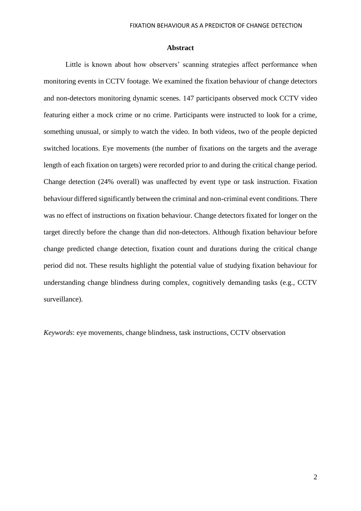## **Abstract**

Little is known about how observers' scanning strategies affect performance when monitoring events in CCTV footage. We examined the fixation behaviour of change detectors and non-detectors monitoring dynamic scenes. 147 participants observed mock CCTV video featuring either a mock crime or no crime. Participants were instructed to look for a crime, something unusual, or simply to watch the video. In both videos, two of the people depicted switched locations. Eye movements (the number of fixations on the targets and the average length of each fixation on targets) were recorded prior to and during the critical change period. Change detection (24% overall) was unaffected by event type or task instruction. Fixation behaviour differed significantly between the criminal and non-criminal event conditions. There was no effect of instructions on fixation behaviour. Change detectors fixated for longer on the target directly before the change than did non-detectors. Although fixation behaviour before change predicted change detection, fixation count and durations during the critical change period did not. These results highlight the potential value of studying fixation behaviour for understanding change blindness during complex, cognitively demanding tasks (e.g., CCTV surveillance).

*Keywords*: eye movements, change blindness, task instructions, CCTV observation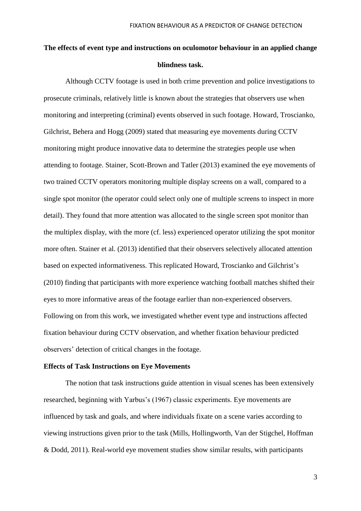# **The effects of event type and instructions on oculomotor behaviour in an applied change blindness task.**

Although CCTV footage is used in both crime prevention and police investigations to prosecute criminals, relatively little is known about the strategies that observers use when monitoring and interpreting (criminal) events observed in such footage. Howard, Troscianko, Gilchrist, Behera and Hogg (2009) stated that measuring eye movements during CCTV monitoring might produce innovative data to determine the strategies people use when attending to footage. Stainer, Scott-Brown and Tatler (2013) examined the eye movements of two trained CCTV operators monitoring multiple display screens on a wall, compared to a single spot monitor (the operator could select only one of multiple screens to inspect in more detail). They found that more attention was allocated to the single screen spot monitor than the multiplex display, with the more (cf. less) experienced operator utilizing the spot monitor more often. Stainer et al. (2013) identified that their observers selectively allocated attention based on expected informativeness. This replicated Howard, Troscianko and Gilchrist's (2010) finding that participants with more experience watching football matches shifted their eyes to more informative areas of the footage earlier than non-experienced observers. Following on from this work, we investigated whether event type and instructions affected fixation behaviour during CCTV observation, and whether fixation behaviour predicted observers' detection of critical changes in the footage.

## **Effects of Task Instructions on Eye Movements**

The notion that task instructions guide attention in visual scenes has been extensively researched, beginning with Yarbus's (1967) classic experiments. Eye movements are influenced by task and goals, and where individuals fixate on a scene varies according to viewing instructions given prior to the task (Mills, Hollingworth, Van der Stigchel, Hoffman & Dodd, 2011). Real-world eye movement studies show similar results, with participants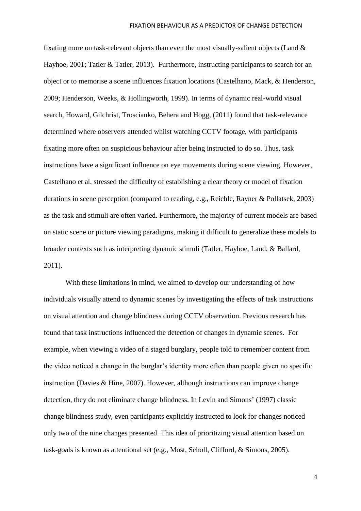fixating more on task-relevant objects than even the most visually-salient objects (Land & Hayhoe, 2001; Tatler & Tatler, 2013). Furthermore, instructing participants to search for an object or to memorise a scene influences fixation locations (Castelhano, Mack, & Henderson, 2009; Henderson, Weeks, & Hollingworth, 1999). In terms of dynamic real-world visual search, Howard, Gilchrist, Troscianko, Behera and Hogg, (2011) found that task-relevance determined where observers attended whilst watching CCTV footage, with participants fixating more often on suspicious behaviour after being instructed to do so. Thus, task instructions have a significant influence on eye movements during scene viewing. However, Castelhano et al. stressed the difficulty of establishing a clear theory or model of fixation durations in scene perception (compared to reading, e.g., Reichle, Rayner & Pollatsek, 2003) as the task and stimuli are often varied. Furthermore, the majority of current models are based on static scene or picture viewing paradigms, making it difficult to generalize these models to broader contexts such as interpreting dynamic stimuli (Tatler, Hayhoe, Land, & Ballard, 2011).

With these limitations in mind, we aimed to develop our understanding of how individuals visually attend to dynamic scenes by investigating the effects of task instructions on visual attention and change blindness during CCTV observation. Previous research has found that task instructions influenced the detection of changes in dynamic scenes. For example, when viewing a video of a staged burglary, people told to remember content from the video noticed a change in the burglar's identity more often than people given no specific instruction (Davies & Hine, 2007). However, although instructions can improve change detection, they do not eliminate change blindness. In Levin and Simons' (1997) classic change blindness study, even participants explicitly instructed to look for changes noticed only two of the nine changes presented. This idea of prioritizing visual attention based on task-goals is known as attentional set (e.g., Most, Scholl, Clifford, & Simons, 2005).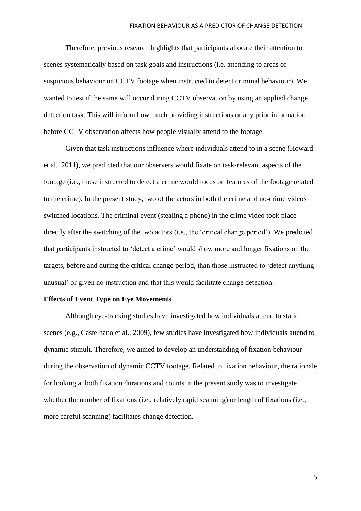Therefore, previous research highlights that participants allocate their attention to scenes systematically based on task goals and instructions (i.e. attending to areas of suspicious behaviour on CCTV footage when instructed to detect criminal behaviour). We wanted to test if the same will occur during CCTV observation by using an applied change detection task. This will inform how much providing instructions or any prior information before CCTV observation affects how people visually attend to the footage.

Given that task instructions influence where individuals attend to in a scene (Howard et al., 2011), we predicted that our observers would fixate on task-relevant aspects of the footage (i.e., those instructed to detect a crime would focus on features of the footage related to the crime). In the present study, two of the actors in both the crime and no-crime videos switched locations. The criminal event (stealing a phone) in the crime video took place directly after the switching of the two actors (i.e., the 'critical change period'). We predicted that participants instructed to 'detect a crime' would show more and longer fixations on the targets, before and during the critical change period, than those instructed to 'detect anything unusual' or given no instruction and that this would facilitate change detection.

# **Effects of Event Type on Eye Movements**

Although eye-tracking studies have investigated how individuals attend to static scenes (e.g., Castelhano et al., 2009), few studies have investigated how individuals attend to dynamic stimuli. Therefore, we aimed to develop an understanding of fixation behaviour during the observation of dynamic CCTV footage. Related to fixation behaviour, the rationale for looking at both fixation durations and counts in the present study was to investigate whether the number of fixations (i.e., relatively rapid scanning) or length of fixations (i.e., more careful scanning) facilitates change detection.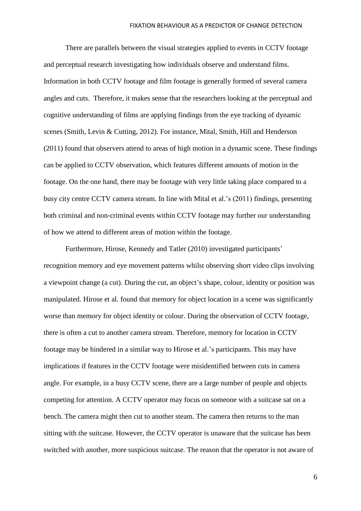There are parallels between the visual strategies applied to events in CCTV footage and perceptual research investigating how individuals observe and understand films. Information in both CCTV footage and film footage is generally formed of several camera angles and cuts. Therefore, it makes sense that the researchers looking at the perceptual and cognitive understanding of films are applying findings from the eye tracking of dynamic scenes (Smith, Levin & Cutting, 2012). For instance, Mital, Smith, Hill and Henderson (2011) found that observers attend to areas of high motion in a dynamic scene. These findings can be applied to CCTV observation, which features different amounts of motion in the footage. On the one hand, there may be footage with very little taking place compared to a busy city centre CCTV camera stream. In line with Mital et al.'s (2011) findings, presenting both criminal and non-criminal events within CCTV footage may further our understanding of how we attend to different areas of motion within the footage.

Furthermore, Hirose, Kennedy and Tatler (2010) investigated participants' recognition memory and eye movement patterns whilst observing short video clips involving a viewpoint change (a cut). During the cut, an object's shape, colour, identity or position was manipulated. Hirose et al. found that memory for object location in a scene was significantly worse than memory for object identity or colour. During the observation of CCTV footage, there is often a cut to another camera stream. Therefore, memory for location in CCTV footage may be hindered in a similar way to Hirose et al.'s participants. This may have implications if features in the CCTV footage were misidentified between cuts in camera angle. For example, in a busy CCTV scene, there are a large number of people and objects competing for attention. A CCTV operator may focus on someone with a suitcase sat on a bench. The camera might then cut to another steam. The camera then returns to the man sitting with the suitcase. However, the CCTV operator is unaware that the suitcase has been switched with another, more suspicious suitcase. The reason that the operator is not aware of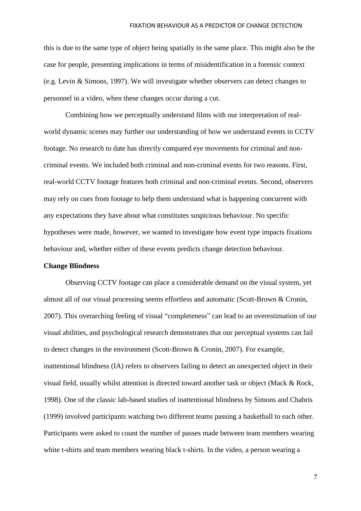this is due to the same type of object being spatially in the same place. This might also be the case for people, presenting implications in terms of misidentification in a forensic context (e.g. Levin & Simons, 1997). We will investigate whether observers can detect changes to personnel in a video, when these changes occur during a cut.

Combining how we perceptually understand films with our interpretation of realworld dynamic scenes may further our understanding of how we understand events in CCTV footage. No research to date has directly compared eye movements for criminal and noncriminal events. We included both criminal and non-criminal events for two reasons. First, real-world CCTV footage features both criminal and non-criminal events. Second, observers may rely on cues from footage to help them understand what is happening concurrent with any expectations they have about what constitutes suspicious behaviour. No specific hypotheses were made, however, we wanted to investigate how event type impacts fixations behaviour and, whether either of these events predicts change detection behaviour.

## **Change Blindness**

Observing CCTV footage can place a considerable demand on the visual system, yet almost all of our visual processing seems effortless and automatic (Scott-Brown & Cronin, 2007). This overarching feeling of visual "completeness" can lead to an overestimation of our visual abilities, and psychological research demonstrates that our perceptual systems can fail to detect changes in the environment (Scott-Brown & Cronin, 2007). For example, inattentional blindness (IA) refers to observers failing to detect an unexpected object in their visual field, usually whilst attention is directed toward another task or object (Mack & Rock, 1998). One of the classic lab-based studies of inattentional blindness by Simons and Chabris (1999) involved participants watching two different teams passing a basketball to each other. Participants were asked to count the number of passes made between team members wearing white t-shirts and team members wearing black t-shirts. In the video, a person wearing a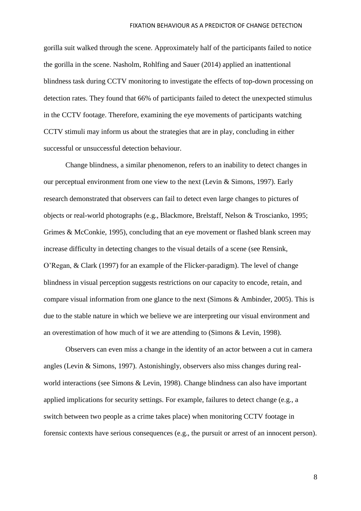gorilla suit walked through the scene. Approximately half of the participants failed to notice the gorilla in the scene. Nasholm, Rohlfing and Sauer (2014) applied an inattentional blindness task during CCTV monitoring to investigate the effects of top-down processing on detection rates. They found that 66% of participants failed to detect the unexpected stimulus in the CCTV footage. Therefore, examining the eye movements of participants watching CCTV stimuli may inform us about the strategies that are in play, concluding in either successful or unsuccessful detection behaviour.

Change blindness, a similar phenomenon, refers to an inability to detect changes in our perceptual environment from one view to the next (Levin & Simons, 1997). Early research demonstrated that observers can fail to detect even large changes to pictures of objects or real-world photographs (e.g., Blackmore, Brelstaff, Nelson & Troscianko, 1995; Grimes & McConkie, 1995), concluding that an eye movement or flashed blank screen may increase difficulty in detecting changes to the visual details of a scene (see Rensink, O'Regan, & Clark (1997) for an example of the Flicker-paradigm). The level of change blindness in visual perception suggests restrictions on our capacity to encode, retain, and compare visual information from one glance to the next (Simons & Ambinder, 2005). This is due to the stable nature in which we believe we are interpreting our visual environment and an overestimation of how much of it we are attending to (Simons & Levin, 1998).

Observers can even miss a change in the identity of an actor between a cut in camera angles (Levin & Simons, 1997). Astonishingly, observers also miss changes during realworld interactions (see Simons & Levin, 1998). Change blindness can also have important applied implications for security settings. For example, failures to detect change (e.g., a switch between two people as a crime takes place) when monitoring CCTV footage in forensic contexts have serious consequences (e.g., the pursuit or arrest of an innocent person).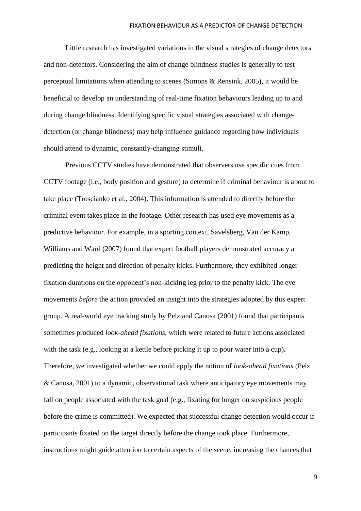Little research has investigated variations in the visual strategies of change detectors and non-detectors. Considering the aim of change blindness studies is generally to test perceptual limitations when attending to scenes (Simons & Rensink, 2005), it would be beneficial to develop an understanding of real-time fixation behaviours leading up to and during change blindness. Identifying specific visual strategies associated with changedetection (or change blindness) may help influence guidance regarding how individuals should attend to dynamic, constantly-changing stimuli.

Previous CCTV studies have demonstrated that observers use specific cues from CCTV footage (i.e., body position and gesture) to determine if criminal behaviour is about to take place (Troscianko et al., 2004). This information is attended to directly before the criminal event takes place in the footage. Other research has used eye movements as a predictive behaviour. For example, in a sporting context, Savelsberg, Van der Kamp, Williams and Ward (2007) found that expert football players demonstrated accuracy at predicting the height and direction of penalty kicks. Furthermore, they exhibited longer fixation durations on the opponent's non-kicking leg prior to the penalty kick. The eye movements *before* the action provided an insight into the strategies adopted by this expert group. A real-world eye tracking study by Pelz and Canosa (2001) found that participants sometimes produced *look-ahead fixations*, which were related to future actions associated with the task (e.g., looking at a kettle before picking it up to pour water into a cup)**.** Therefore, we investigated whether we could apply the notion of *look-ahead fixations* (Pelz & Canosa, 2001) to a dynamic, observational task where anticipatory eye movements may fall on people associated with the task goal (e.g., fixating for longer on suspicious people before the crime is committed). We expected that successful change detection would occur if participants fixated on the target directly before the change took place. Furthermore, instructions might guide attention to certain aspects of the scene, increasing the chances that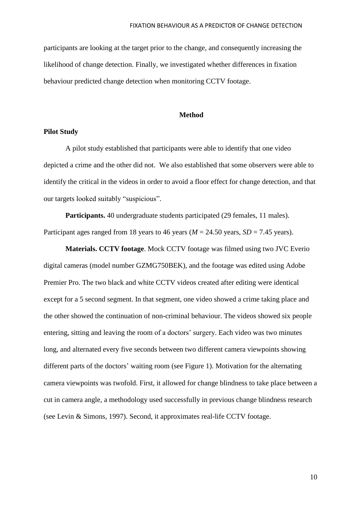participants are looking at the target prior to the change, and consequently increasing the likelihood of change detection. Finally, we investigated whether differences in fixation behaviour predicted change detection when monitoring CCTV footage.

#### **Method**

# **Pilot Study**

A pilot study established that participants were able to identify that one video depicted a crime and the other did not. We also established that some observers were able to identify the critical in the videos in order to avoid a floor effect for change detection, and that our targets looked suitably "suspicious".

**Participants.** 40 undergraduate students participated (29 females, 11 males). Participant ages ranged from 18 years to 46 years ( $M = 24.50$  years,  $SD = 7.45$  years).

**Materials. CCTV footage**. Mock CCTV footage was filmed using two JVC Everio digital cameras (model number GZMG750BEK), and the footage was edited using Adobe Premier Pro. The two black and white CCTV videos created after editing were identical except for a 5 second segment. In that segment, one video showed a crime taking place and the other showed the continuation of non-criminal behaviour. The videos showed six people entering, sitting and leaving the room of a doctors' surgery. Each video was two minutes long, and alternated every five seconds between two different camera viewpoints showing different parts of the doctors' waiting room (see Figure 1). Motivation for the alternating camera viewpoints was twofold. First, it allowed for change blindness to take place between a cut in camera angle, a methodology used successfully in previous change blindness research (see Levin & Simons, 1997). Second, it approximates real-life CCTV footage.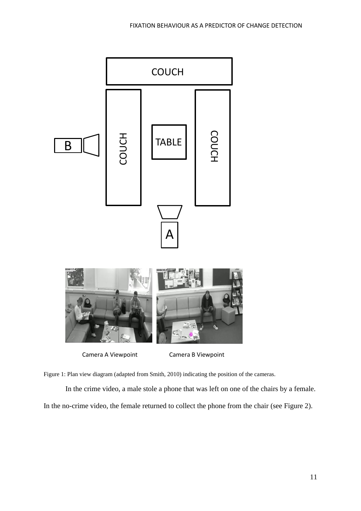

Camera A Viewpoint Camera B Viewpoint

Figure 1: Plan view diagram (adapted from Smith, 2010) indicating the position of the cameras.

In the crime video, a male stole a phone that was left on one of the chairs by a female.

In the no-crime video, the female returned to collect the phone from the chair (see Figure 2).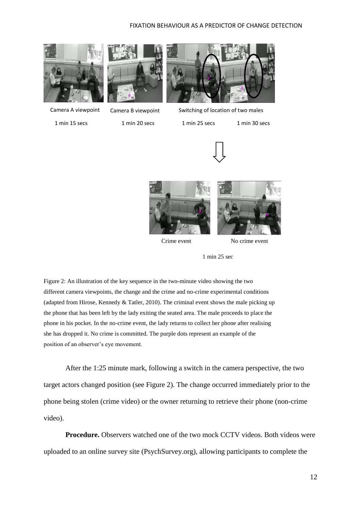

Camera A viewpoint Camera B viewpoint Switching of location of two males





1 min 15 secs 1 min 20 secs 1 min 25 secs 1 min 30 secs





Crime event No crime event

1 min 25 sec

Figure 2: An illustration of the key sequence in the two-minute video showing the two different camera viewpoints, the change and the crime and no-crime experimental conditions (adapted from Hirose, Kennedy & Tatler, 2010). The criminal event shows the male picking up the phone that has been left by the lady exiting the seated area. The male proceeds to place the phone in his pocket. In the no-crime event, the lady returns to collect her phone after realising she has dropped it. No crime is committed. The purple dots represent an example of the position of an observer's eye movement.

After the 1:25 minute mark, following a switch in the camera perspective, the two target actors changed position (see Figure 2). The change occurred immediately prior to the phone being stolen (crime video) or the owner returning to retrieve their phone (non-crime video).

**Procedure.** Observers watched one of the two mock CCTV videos. Both videos were uploaded to an online survey site (PsychSurvey.org), allowing participants to complete the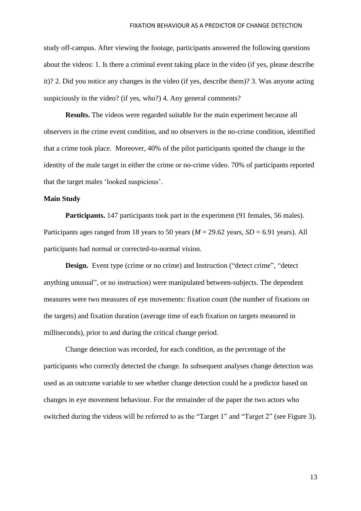study off-campus. After viewing the footage, participants answered the following questions about the videos: 1. Is there a criminal event taking place in the video (if yes, please describe it)? 2. Did you notice any changes in the video (if yes, describe them)? 3. Was anyone acting suspiciously in the video? (if yes, who?) 4. Any general comments?

**Results.** The videos were regarded suitable for the main experiment because all observers in the crime event condition, and no observers in the no-crime condition, identified that a crime took place. Moreover, 40% of the pilot participants spotted the change in the identity of the male target in either the crime or no-crime video. 70% of participants reported that the target males 'looked suspicious'.

# **Main Study**

Participants. 147 participants took part in the experiment (91 females, 56 males). Participants ages ranged from 18 years to 50 years ( $M = 29.62$  years,  $SD = 6.91$  years). All participants had normal or corrected-to-normal vision.

**Design.** Event type (crime or no crime) and Instruction ("detect crime", "detect anything unusual", or no instruction) were manipulated between-subjects. The dependent measures were two measures of eye movements: fixation count (the number of fixations on the targets) and fixation duration (average time of each fixation on targets measured in milliseconds), prior to and during the critical change period.

Change detection was recorded, for each condition, as the percentage of the participants who correctly detected the change. In subsequent analyses change detection was used as an outcome variable to see whether change detection could be a predictor based on changes in eye movement behaviour. For the remainder of the paper the two actors who switched during the videos will be referred to as the "Target 1" and "Target 2" (see Figure 3).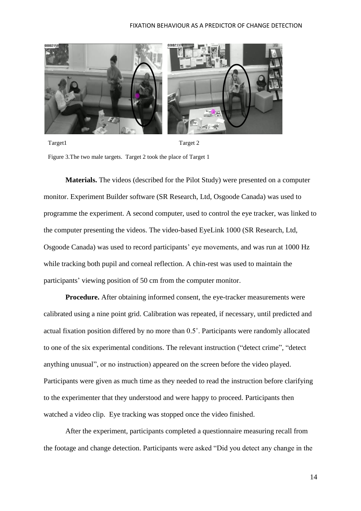

Target 1 Target 2 Figure 3.The two male targets. Target 2 took the place of Target 1

**Materials.** The videos (described for the Pilot Study) were presented on a computer monitor. Experiment Builder software (SR Research, Ltd, Osgoode Canada) was used to programme the experiment. A second computer, used to control the eye tracker, was linked to the computer presenting the videos. The video-based EyeLink 1000 (SR Research, Ltd, Osgoode Canada) was used to record participants' eye movements, and was run at 1000 Hz while tracking both pupil and corneal reflection. A chin-rest was used to maintain the participants' viewing position of 50 cm from the computer monitor.

**Procedure.** After obtaining informed consent, the eye-tracker measurements were calibrated using a nine point grid. Calibration was repeated, if necessary, until predicted and actual fixation position differed by no more than 0.5˚. Participants were randomly allocated to one of the six experimental conditions. The relevant instruction ("detect crime", "detect anything unusual", or no instruction) appeared on the screen before the video played. Participants were given as much time as they needed to read the instruction before clarifying to the experimenter that they understood and were happy to proceed. Participants then watched a video clip. Eye tracking was stopped once the video finished.

After the experiment, participants completed a questionnaire measuring recall from the footage and change detection. Participants were asked "Did you detect any change in the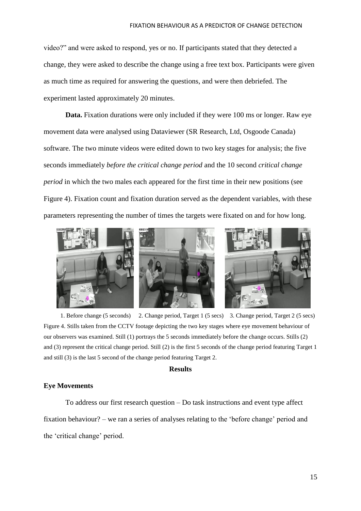video?" and were asked to respond, yes or no. If participants stated that they detected a change, they were asked to describe the change using a free text box. Participants were given as much time as required for answering the questions, and were then debriefed. The experiment lasted approximately 20 minutes.

**Data.** Fixation durations were only included if they were 100 ms or longer. Raw eye movement data were analysed using Dataviewer (SR Research, Ltd, Osgoode Canada) software. The two minute videos were edited down to two key stages for analysis; the five seconds immediately *before the critical change period* and the 10 second *critical change period* in which the two males each appeared for the first time in their new positions (see Figure 4). Fixation count and fixation duration served as the dependent variables, with these parameters representing the number of times the targets were fixated on and for how long.



 1. Before change (5 seconds) 2. Change period, Target 1 (5 secs) 3. Change period, Target 2 (5 secs) Figure 4. Stills taken from the CCTV footage depicting the two key stages where eye movement behaviour of our observers was examined. Still (1) portrays the 5 seconds immediately before the change occurs. Stills (2) and (3) represent the critical change period. Still (2) is the first 5 seconds of the change period featuring Target 1 and still (3) is the last 5 second of the change period featuring Target 2.

## **Results**

## **Eye Movements**

To address our first research question – Do task instructions and event type affect fixation behaviour? – we ran a series of analyses relating to the 'before change' period and the 'critical change' period.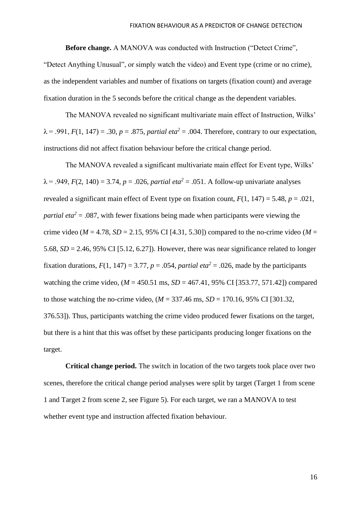**Before change.** A MANOVA was conducted with Instruction ("Detect Crime",

"Detect Anything Unusual", or simply watch the video) and Event type (crime or no crime), as the independent variables and number of fixations on targets (fixation count) and average fixation duration in the 5 seconds before the critical change as the dependent variables.

The MANOVA revealed no significant multivariate main effect of Instruction, Wilks'  $\lambda = .991, F(1, 147) = .30, p = .875,$  *partial eta*<sup>2</sup> = .004. Therefore, contrary to our expectation, instructions did not affect fixation behaviour before the critical change period.

The MANOVA revealed a significant multivariate main effect for Event type, Wilks'  $λ = .949, F(2, 140) = 3.74, p = .026, partial \text{ et } a^2 = .051$ . A follow-up univariate analyses revealed a significant main effect of Event type on fixation count,  $F(1, 147) = 5.48$ ,  $p = .021$ , *partial eta*<sup>2</sup> = .087, with fewer fixations being made when participants were viewing the crime video ( $M = 4.78$ ,  $SD = 2.15$ , 95% CI [4.31, 5.30]) compared to the no-crime video ( $M =$ 5.68,  $SD = 2.46$ , 95% CI [5.12, 6.27]). However, there was near significance related to longer fixation durations,  $F(1, 147) = 3.77$ ,  $p = .054$ , *partial eta*<sup>2</sup> = .026, made by the participants watching the crime video,  $(M = 450.51 \text{ ms}, SD = 467.41, 95\% \text{ CI}$  [353.77, 571.42]) compared to those watching the no-crime video,  $(M = 337.46 \text{ ms}, SD = 170.16, 95\% \text{ CI}$  [301.32, 376.53]). Thus, participants watching the crime video produced fewer fixations on the target, but there is a hint that this was offset by these participants producing longer fixations on the target.

**Critical change period.** The switch in location of the two targets took place over two scenes, therefore the critical change period analyses were split by target (Target 1 from scene 1 and Target 2 from scene 2, see Figure 5). For each target, we ran a MANOVA to test whether event type and instruction affected fixation behaviour.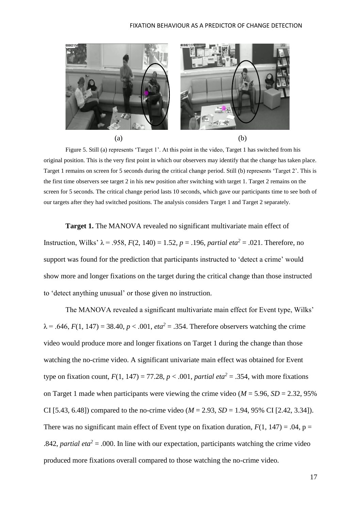

Figure 5. Still (a) represents 'Target 1'. At this point in the video, Target 1 has switched from his original position. This is the very first point in which our observers may identify that the change has taken place. Target 1 remains on screen for 5 seconds during the critical change period. Still (b) represents 'Target 2'. This is the first time observers see target 2 in his new position after switching with target 1. Target 2 remains on the screen for 5 seconds. The critical change period lasts 10 seconds, which gave our participants time to see both of our targets after they had switched positions. The analysis considers Target 1 and Target 2 separately.

**Target 1.** The MANOVA revealed no significant multivariate main effect of Instruction, Wilks' λ = .958, *F*(2, 140) = 1.52, *p* = .196, *partial eta<sup>2</sup>* = .021. Therefore, no support was found for the prediction that participants instructed to 'detect a crime' would show more and longer fixations on the target during the critical change than those instructed to 'detect anything unusual' or those given no instruction.

The MANOVA revealed a significant multivariate main effect for Event type, Wilks'  $\lambda = .646$ ,  $F(1, 147) = 38.40$ ,  $p < .001$ ,  $eta^2 = .354$ . Therefore observers watching the crime video would produce more and longer fixations on Target 1 during the change than those watching the no-crime video. A significant univariate main effect was obtained for Event type on fixation count,  $F(1, 147) = 77.28$ ,  $p < .001$ , *partial eta*<sup>2</sup> = .354, with more fixations on Target 1 made when participants were viewing the crime video ( $M = 5.96$ ,  $SD = 2.32$ , 95%) CI [5.43, 6.48]) compared to the no-crime video  $(M = 2.93, SD = 1.94, 95\%$  CI [2.42, 3.34]). There was no significant main effect of Event type on fixation duration,  $F(1, 147) = .04$ ,  $p =$ .842, *partial*  $eta^2 = .000$ . In line with our expectation, participants watching the crime video produced more fixations overall compared to those watching the no-crime video.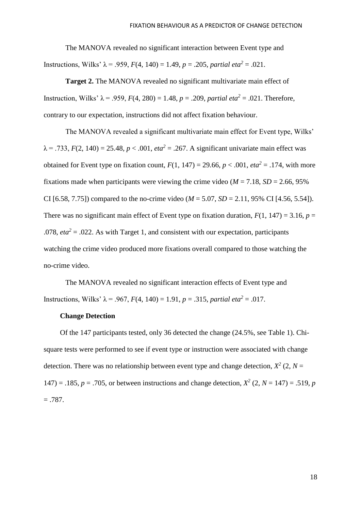The MANOVA revealed no significant interaction between Event type and Instructions, Wilks'  $\lambda = .959$ ,  $F(4, 140) = 1.49$ ,  $p = .205$ , *partial eta*<sup>2</sup> = .021.

**Target 2.** The MANOVA revealed no significant multivariate main effect of Instruction, Wilks'  $\lambda = .959$ ,  $F(4, 280) = 1.48$ ,  $p = .209$ , *partial eta*<sup>2</sup> = .021. Therefore, contrary to our expectation, instructions did not affect fixation behaviour.

The MANOVA revealed a significant multivariate main effect for Event type, Wilks'  $\lambda = .733, F(2, 140) = 25.48, p < .001, \text{eta}^2 = .267$ . A significant univariate main effect was obtained for Event type on fixation count,  $F(1, 147) = 29.66$ ,  $p < .001$ ,  $eta^2 = .174$ , with more fixations made when participants were viewing the crime video ( $M = 7.18$ ,  $SD = 2.66$ , 95%) CI [6.58, 7.75]) compared to the no-crime video ( $M = 5.07$ ,  $SD = 2.11$ , 95% CI [4.56, 5.54]). There was no significant main effect of Event type on fixation duration,  $F(1, 147) = 3.16$ ,  $p =$ .078,  $eta^2 = 0.022$ . As with Target 1, and consistent with our expectation, participants watching the crime video produced more fixations overall compared to those watching the no-crime video.

The MANOVA revealed no significant interaction effects of Event type and Instructions, Wilks'  $λ = .967$ ,  $F(4, 140) = 1.91$ ,  $p = .315$ , *partial eta*<sup>2</sup> = .017.

# **Change Detection**

Of the 147 participants tested, only 36 detected the change (24.5%, see Table 1). Chisquare tests were performed to see if event type or instruction were associated with change detection. There was no relationship between event type and change detection,  $X^2$  (2,  $N =$ 147) = .185,  $p = .705$ , or between instructions and change detection,  $X^2$  (2,  $N = 147$ ) = .519,  $p$  $=.787.$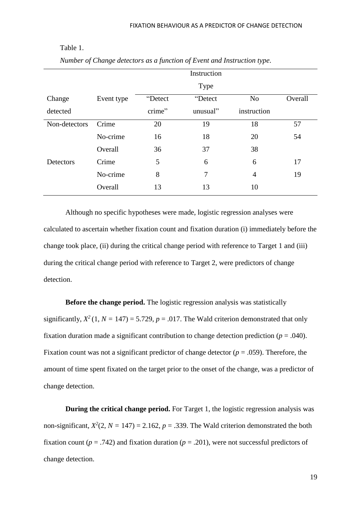|               |            |         | Instruction |                |         |
|---------------|------------|---------|-------------|----------------|---------|
|               |            |         | <b>Type</b> |                |         |
| Change        | Event type | "Detect | "Detect     | N <sub>o</sub> | Overall |
| detected      |            | crime"  | unusual"    | instruction    |         |
| Non-detectors | Crime      | 20      | 19          | 18             | 57      |
|               | No-crime   | 16      | 18          | 20             | 54      |
|               | Overall    | 36      | 37          | 38             |         |
| Detectors     | Crime      | 5       | 6           | 6              | 17      |
|               | No-crime   | 8       | 7           | $\overline{4}$ | 19      |
|               | Overall    | 13      | 13          | 10             |         |

## Table 1.

*Number of Change detectors as a function of Event and Instruction type*.

Although no specific hypotheses were made, logistic regression analyses were calculated to ascertain whether fixation count and fixation duration (i) immediately before the change took place, (ii) during the critical change period with reference to Target 1 and (iii) during the critical change period with reference to Target 2, were predictors of change detection.

**Before the change period.** The logistic regression analysis was statistically significantly,  $X^2(1, N = 147) = 5.729$ ,  $p = .017$ . The Wald criterion demonstrated that only fixation duration made a significant contribution to change detection prediction ( $p = .040$ ). Fixation count was not a significant predictor of change detector  $(p = .059)$ . Therefore, the amount of time spent fixated on the target prior to the onset of the change, was a predictor of change detection.

**During the critical change period.** For Target 1, the logistic regression analysis was non-significant,  $X^2(2, N = 147) = 2.162$ ,  $p = .339$ . The Wald criterion demonstrated the both fixation count ( $p = .742$ ) and fixation duration ( $p = .201$ ), were not successful predictors of change detection.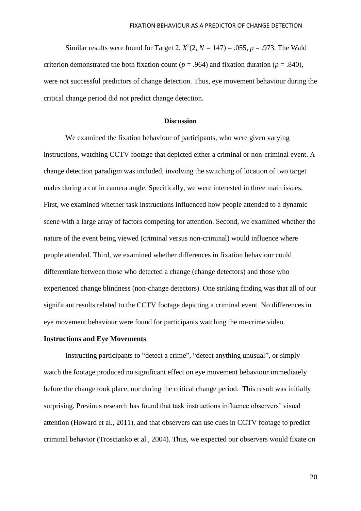Similar results were found for Target 2,  $X^2(2, N = 147) = .055$ ,  $p = .973$ . The Wald criterion demonstrated the both fixation count ( $p = .964$ ) and fixation duration ( $p = .840$ ), were not successful predictors of change detection. Thus, eye movement behaviour during the critical change period did not predict change detection.

## **Discussion**

We examined the fixation behaviour of participants, who were given varying instructions, watching CCTV footage that depicted either a criminal or non-criminal event. A change detection paradigm was included, involving the switching of location of two target males during a cut in camera angle. Specifically, we were interested in three main issues. First, we examined whether task instructions influenced how people attended to a dynamic scene with a large array of factors competing for attention. Second, we examined whether the nature of the event being viewed (criminal versus non-criminal) would influence where people attended. Third, we examined whether differences in fixation behaviour could differentiate between those who detected a change (change detectors) and those who experienced change blindness (non-change detectors). One striking finding was that all of our significant results related to the CCTV footage depicting a criminal event. No differences in eye movement behaviour were found for participants watching the no-crime video.

## **Instructions and Eye Movements**

Instructing participants to "detect a crime", "detect anything unusual", or simply watch the footage produced no significant effect on eye movement behaviour immediately before the change took place, nor during the critical change period. This result was initially surprising. Previous research has found that task instructions influence observers' visual attention (Howard et al., 2011), and that observers can use cues in CCTV footage to predict criminal behavior (Troscianko et al., 2004). Thus, we expected our observers would fixate on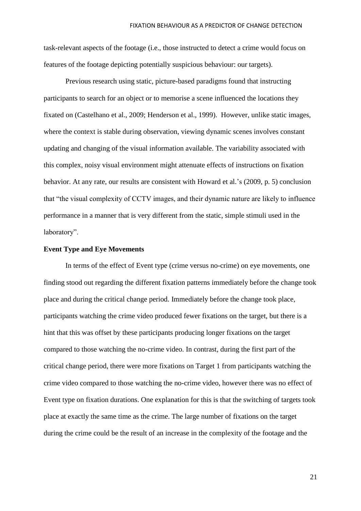task-relevant aspects of the footage (i.e., those instructed to detect a crime would focus on features of the footage depicting potentially suspicious behaviour: our targets).

Previous research using static, picture-based paradigms found that instructing participants to search for an object or to memorise a scene influenced the locations they fixated on (Castelhano et al., 2009; Henderson et al., 1999). However, unlike static images, where the context is stable during observation, viewing dynamic scenes involves constant updating and changing of the visual information available. The variability associated with this complex, noisy visual environment might attenuate effects of instructions on fixation behavior. At any rate, our results are consistent with Howard et al.'s (2009, p. 5) conclusion that "the visual complexity of CCTV images, and their dynamic nature are likely to influence performance in a manner that is very different from the static, simple stimuli used in the laboratory".

# **Event Type and Eye Movements**

In terms of the effect of Event type (crime versus no-crime) on eye movements, one finding stood out regarding the different fixation patterns immediately before the change took place and during the critical change period. Immediately before the change took place, participants watching the crime video produced fewer fixations on the target, but there is a hint that this was offset by these participants producing longer fixations on the target compared to those watching the no-crime video. In contrast, during the first part of the critical change period, there were more fixations on Target 1 from participants watching the crime video compared to those watching the no-crime video, however there was no effect of Event type on fixation durations. One explanation for this is that the switching of targets took place at exactly the same time as the crime. The large number of fixations on the target during the crime could be the result of an increase in the complexity of the footage and the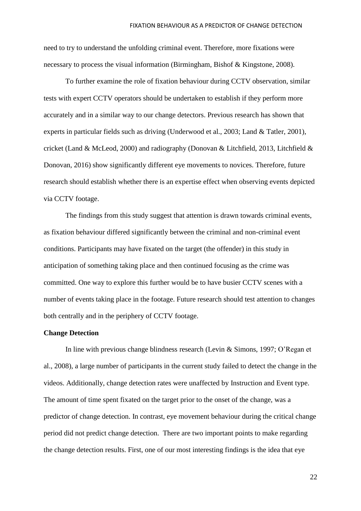need to try to understand the unfolding criminal event. Therefore, more fixations were necessary to process the visual information (Birmingham, Bishof & Kingstone, 2008).

To further examine the role of fixation behaviour during CCTV observation, similar tests with expert CCTV operators should be undertaken to establish if they perform more accurately and in a similar way to our change detectors. Previous research has shown that experts in particular fields such as driving (Underwood et al., 2003; Land & Tatler, 2001), cricket (Land & McLeod, 2000) and radiography (Donovan & Litchfield, 2013, Litchfield & Donovan, 2016) show significantly different eye movements to novices. Therefore, future research should establish whether there is an expertise effect when observing events depicted via CCTV footage.

The findings from this study suggest that attention is drawn towards criminal events, as fixation behaviour differed significantly between the criminal and non-criminal event conditions. Participants may have fixated on the target (the offender) in this study in anticipation of something taking place and then continued focusing as the crime was committed. One way to explore this further would be to have busier CCTV scenes with a number of events taking place in the footage. Future research should test attention to changes both centrally and in the periphery of CCTV footage.

# **Change Detection**

In line with previous change blindness research (Levin & Simons, 1997; O'Regan et al., 2008), a large number of participants in the current study failed to detect the change in the videos. Additionally, change detection rates were unaffected by Instruction and Event type. The amount of time spent fixated on the target prior to the onset of the change, was a predictor of change detection. In contrast, eye movement behaviour during the critical change period did not predict change detection. There are two important points to make regarding the change detection results. First, one of our most interesting findings is the idea that eye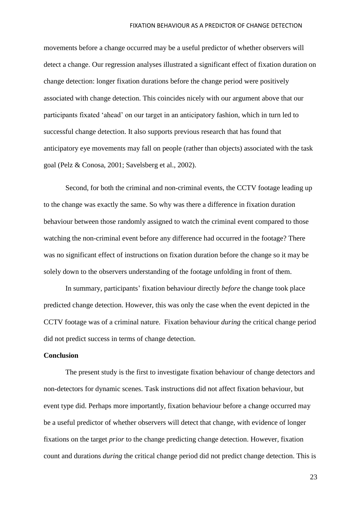movements before a change occurred may be a useful predictor of whether observers will detect a change. Our regression analyses illustrated a significant effect of fixation duration on change detection: longer fixation durations before the change period were positively associated with change detection. This coincides nicely with our argument above that our participants fixated 'ahead' on our target in an anticipatory fashion, which in turn led to successful change detection. It also supports previous research that has found that anticipatory eye movements may fall on people (rather than objects) associated with the task goal (Pelz & Conosa, 2001; Savelsberg et al., 2002).

Second, for both the criminal and non-criminal events, the CCTV footage leading up to the change was exactly the same. So why was there a difference in fixation duration behaviour between those randomly assigned to watch the criminal event compared to those watching the non-criminal event before any difference had occurred in the footage? There was no significant effect of instructions on fixation duration before the change so it may be solely down to the observers understanding of the footage unfolding in front of them.

In summary, participants' fixation behaviour directly *before* the change took place predicted change detection. However, this was only the case when the event depicted in the CCTV footage was of a criminal nature. Fixation behaviour *during* the critical change period did not predict success in terms of change detection.

# **Conclusion**

The present study is the first to investigate fixation behaviour of change detectors and non-detectors for dynamic scenes. Task instructions did not affect fixation behaviour, but event type did. Perhaps more importantly, fixation behaviour before a change occurred may be a useful predictor of whether observers will detect that change, with evidence of longer fixations on the target *prior* to the change predicting change detection. However, fixation count and durations *during* the critical change period did not predict change detection. This is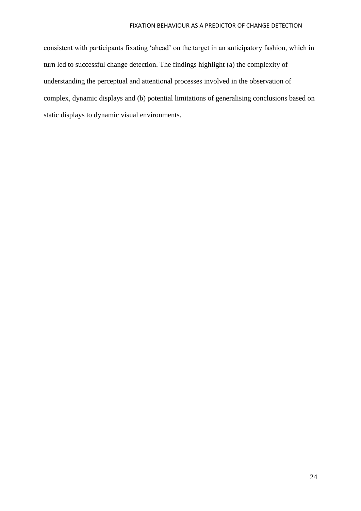consistent with participants fixating 'ahead' on the target in an anticipatory fashion, which in turn led to successful change detection. The findings highlight (a) the complexity of understanding the perceptual and attentional processes involved in the observation of complex, dynamic displays and (b) potential limitations of generalising conclusions based on static displays to dynamic visual environments.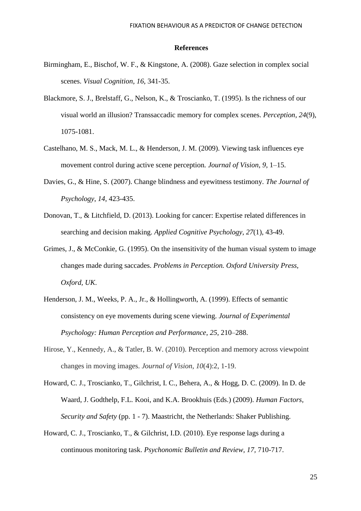## **References**

- Birmingham, E., Bischof, W. F., & Kingstone, A. (2008). Gaze selection in complex social scenes. *Visual Cognition*, *16*, 341-35.
- Blackmore, S. J., Brelstaff, G., Nelson, K., & Troscianko, T. (1995). Is the richness of our visual world an illusion? Transsaccadic memory for complex scenes. *Perception*, *24*(9), 1075-1081.
- Castelhano, M. S., Mack, M. L., & Henderson, J. M. (2009). Viewing task influences eye movement control during active scene perception*. Journal of Vision*, *9*, 1–15.
- Davies, G., & Hine, S. (2007). Change blindness and eyewitness testimony. *The Journal of Psychology*, *14*, 423-435.
- Donovan, T., & Litchfield, D. (2013). Looking for cancer: Expertise related differences in searching and decision making. *Applied Cognitive Psychology*, *27*(1), 43-49.
- Grimes, J., & McConkie, G. (1995). On the insensitivity of the human visual system to image changes made during saccades. *Problems in Perception. Oxford University Press, Oxford, UK*.
- Henderson, J. M., Weeks, P. A., Jr., & Hollingworth, A. (1999). Effects of semantic consistency on eye movements during scene viewing. *Journal of Experimental Psychology: Human Perception and Performance*, *25*, 210–288.
- Hirose, Y., Kennedy, A., & Tatler, B. W. (2010). Perception and memory across viewpoint changes in moving images. *Journal of Vision*, *10*(4):2, 1-19.
- Howard, C. J., Troscianko, T., Gilchrist, I. C., Behera, A., & Hogg, D. C. (2009). In D. de Waard, J. Godthelp, F.L. Kooi, and K.A. Brookhuis (Eds.) (2009). *Human Factors, Security and Safety* (pp. 1 - 7). Maastricht, the Netherlands: Shaker Publishing.
- Howard, C. J., Troscianko, T., & Gilchrist, I.D. (2010). Eye response lags during a continuous monitoring task. *Psychonomic Bulletin and Review, 17,* 710-717.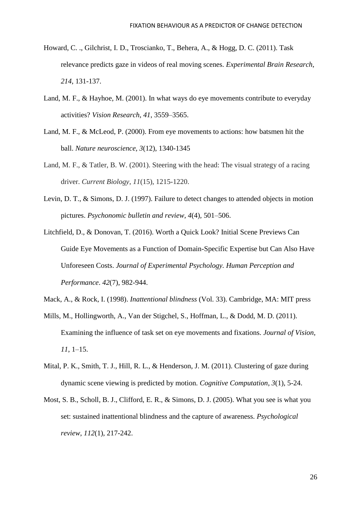- Howard, C. ., Gilchrist, I. D., Troscianko, T., Behera, A., & Hogg, D. C. (2011). Task relevance predicts gaze in videos of real moving scenes. *Experimental Brain Research*, *214*, 131-137.
- Land, M. F., & Hayhoe, M. (2001). In what ways do eye movements contribute to everyday activities? *Vision Research*, *41*, 3559–3565.
- Land, M. F., & McLeod, P. (2000). From eye movements to actions: how batsmen hit the ball. *Nature neuroscience, 3*(12), 1340-1345
- Land, M. F., & Tatler, B. W. (2001). Steering with the head: The visual strategy of a racing driver. *Current Biology*, *11*(15), 1215-1220.
- Levin, D. T., & Simons, D. J. (1997). Failure to detect changes to attended objects in motion pictures. *Psychonomic bulletin and review, 4*(4)*,* 501–506.

Litchfield, D., & Donovan, T. (2016). Worth a Quick Look? Initial Scene Previews Can Guide Eye Movements as a Function of Domain-Specific Expertise but Can Also Have Unforeseen Costs. *Journal of Experimental Psychology. Human Perception and Performance*. *42*(7), 982-944.

- Mack, A., & Rock, I. (1998). *Inattentional blindness* (Vol. 33). Cambridge, MA: MIT press
- Mills, M., Hollingworth, A., Van der Stigchel, S., Hoffman, L., & Dodd, M. D. (2011). Examining the influence of task set on eye movements and fixations. *Journal of Vision*, *11*, 1–15.
- Mital, P. K., Smith, T. J., Hill, R. L., & Henderson, J. M. (2011). Clustering of gaze during dynamic scene viewing is predicted by motion. *Cognitive Computation*, *3*(1), 5-24.
- Most, S. B., Scholl, B. J., Clifford, E. R., & Simons, D. J. (2005). What you see is what you set: sustained inattentional blindness and the capture of awareness. *Psychological review*, *112*(1), 217-242.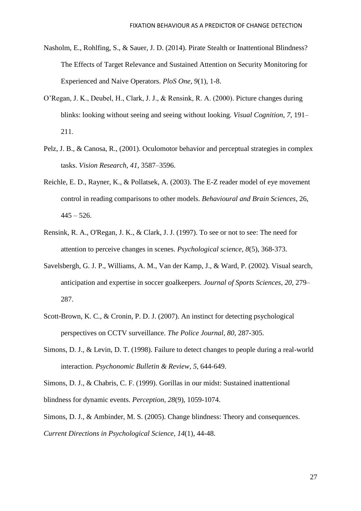- Nasholm, E., Rohlfing, S., & Sauer, J. D. (2014). Pirate Stealth or Inattentional Blindness? The Effects of Target Relevance and Sustained Attention on Security Monitoring for Experienced and Naive Operators. *PloS One, 9*(1), 1-8.
- O'Regan, J. K., Deubel, H., Clark, J. J., & Rensink, R. A. (2000). Picture changes during blinks: looking without seeing and seeing without looking. *Visual Cognition*, *7*, 191– 211.
- Pelz, J. B., & Canosa, R., (2001). Oculomotor behavior and perceptual strategies in complex tasks. *Vision Research*, *41*, 3587–3596.
- Reichle, E. D., Rayner, K., & Pollatsek, A. (2003). The E-Z reader model of eye movement control in reading comparisons to other models. *Behavioural and Brain Sciences*, 26,  $445 - 526$ .
- Rensink, R. A., O'Regan, J. K., & Clark, J. J. (1997). To see or not to see: The need for attention to perceive changes in scenes. *Psychological science*, *8*(5), 368-373.
- Savelsbergh, G. J. P., Williams, A. M., Van der Kamp, J., & Ward, P. (2002). Visual search, anticipation and expertise in soccer goalkeepers. *Journal of Sports Sciences*, *20*, 279– 287.
- Scott-Brown, K. C., & Cronin, P. D. J. (2007). An instinct for detecting psychological perspectives on CCTV surveillance. *The Police Journal, 80*, 287-305.
- Simons, D. J., & Levin, D. T. (1998). Failure to detect changes to people during a real-world interaction. *Psychonomic Bulletin & Review*, *5*, 644-649.

Simons, D. J., & Chabris, C. F. (1999). Gorillas in our midst: Sustained inattentional blindness for dynamic events. *Perception, 28*(9), 1059-1074.

Simons, D. J., & Ambinder, M. S. (2005). Change blindness: Theory and consequences. *Current Directions in Psychological Science*, *14*(1), 44-48.